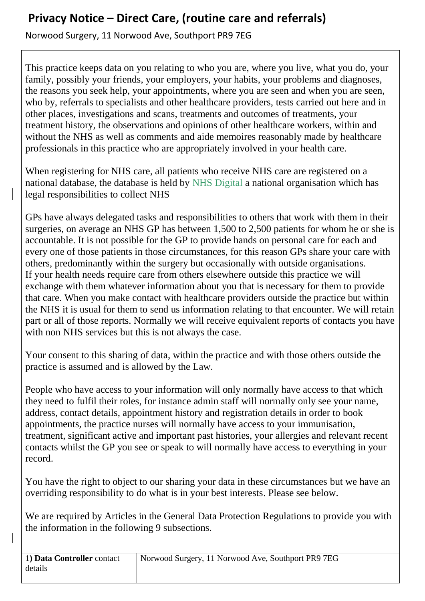## **Privacy Notice – Direct Care, (routine care and referrals)**

Norwood Surgery, 11 Norwood Ave, Southport PR9 7EG

This practice keeps data on you relating to who you are, where you live, what you do, your family, possibly your friends, your employers, your habits, your problems and diagnoses, the reasons you seek help, your appointments, where you are seen and when you are seen, who by, referrals to specialists and other healthcare providers, tests carried out here and in other places, investigations and scans, treatments and outcomes of treatments, your treatment history, the observations and opinions of other healthcare workers, within and without the NHS as well as comments and aide memoires reasonably made by healthcare professionals in this practice who are appropriately involved in your health care.

When registering for NHS care, all patients who receive NHS care are registered on a national database, the database is held by NHS Digital a national organisation which has legal responsibilities to collect NHS

GPs have always delegated tasks and responsibilities to others that work with them in their surgeries, on average an NHS GP has between 1,500 to 2,500 patients for whom he or she is accountable. It is not possible for the GP to provide hands on personal care for each and every one of those patients in those circumstances, for this reason GPs share your care with others, predominantly within the surgery but occasionally with outside organisations. If your health needs require care from others elsewhere outside this practice we will exchange with them whatever information about you that is necessary for them to provide that care. When you make contact with healthcare providers outside the practice but within the NHS it is usual for them to send us information relating to that encounter. We will retain part or all of those reports. Normally we will receive equivalent reports of contacts you have with non NHS services but this is not always the case.

Your consent to this sharing of data, within the practice and with those others outside the practice is assumed and is allowed by the Law.

People who have access to your information will only normally have access to that which they need to fulfil their roles, for instance admin staff will normally only see your name, address, contact details, appointment history and registration details in order to book appointments, the practice nurses will normally have access to your immunisation, treatment, significant active and important past histories, your allergies and relevant recent contacts whilst the GP you see or speak to will normally have access to everything in your record.

You have the right to object to our sharing your data in these circumstances but we have an overriding responsibility to do what is in your best interests. Please see below.

We are required by Articles in the General Data Protection Regulations to provide you with the information in the following 9 subsections.

| 1) Data Controller contact | Norwood Surgery, 11 Norwood Ave, Southport PR9 7EG |
|----------------------------|----------------------------------------------------|
| details                    |                                                    |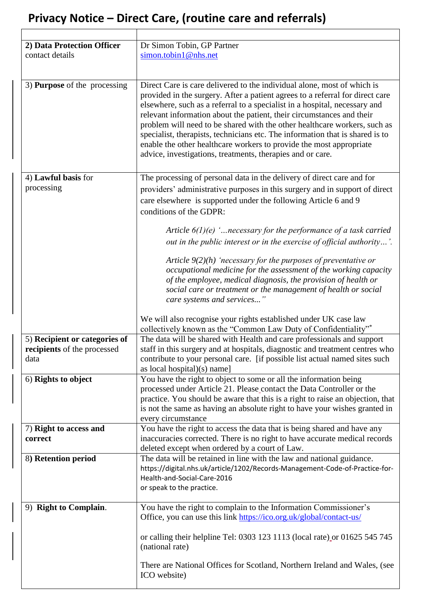## **Privacy Notice – Direct Care, (routine care and referrals)**

| 2) Data Protection Officer                                           | Dr Simon Tobin, GP Partner                                                                                                                                                                                                                                                                                                                                                                                                                                                                                                                                                                                         |
|----------------------------------------------------------------------|--------------------------------------------------------------------------------------------------------------------------------------------------------------------------------------------------------------------------------------------------------------------------------------------------------------------------------------------------------------------------------------------------------------------------------------------------------------------------------------------------------------------------------------------------------------------------------------------------------------------|
| contact details                                                      | simon.tobin1@nhs.net                                                                                                                                                                                                                                                                                                                                                                                                                                                                                                                                                                                               |
|                                                                      |                                                                                                                                                                                                                                                                                                                                                                                                                                                                                                                                                                                                                    |
| 3) <b>Purpose</b> of the processing                                  | Direct Care is care delivered to the individual alone, most of which is<br>provided in the surgery. After a patient agrees to a referral for direct care<br>elsewhere, such as a referral to a specialist in a hospital, necessary and<br>relevant information about the patient, their circumstances and their<br>problem will need to be shared with the other healthcare workers, such as<br>specialist, therapists, technicians etc. The information that is shared is to<br>enable the other healthcare workers to provide the most appropriate<br>advice, investigations, treatments, therapies and or care. |
| 4) Lawful basis for<br>processing                                    | The processing of personal data in the delivery of direct care and for<br>providers' administrative purposes in this surgery and in support of direct<br>care elsewhere is supported under the following Article 6 and 9<br>conditions of the GDPR:                                                                                                                                                                                                                                                                                                                                                                |
|                                                                      | Article $6(1)(e)$ ' necessary for the performance of a task carried<br>out in the public interest or in the exercise of official authority'.                                                                                                                                                                                                                                                                                                                                                                                                                                                                       |
|                                                                      | Article $9(2)(h)$ 'necessary for the purposes of preventative or<br>occupational medicine for the assessment of the working capacity<br>of the employee, medical diagnosis, the provision of health or<br>social care or treatment or the management of health or social<br>care systems and services"                                                                                                                                                                                                                                                                                                             |
|                                                                      | We will also recognise your rights established under UK case law<br>collectively known as the "Common Law Duty of Confidentiality"*                                                                                                                                                                                                                                                                                                                                                                                                                                                                                |
| 5) Recipient or categories of<br>recipients of the processed<br>data | The data will be shared with Health and care professionals and support<br>staff in this surgery and at hospitals, diagnostic and treatment centres who<br>contribute to your personal care. [if possible list actual named sites such<br>as local hospital $(x)$ name]                                                                                                                                                                                                                                                                                                                                             |
| 6) Rights to object                                                  | You have the right to object to some or all the information being<br>processed under Article 21. Please contact the Data Controller or the<br>practice. You should be aware that this is a right to raise an objection, that<br>is not the same as having an absolute right to have your wishes granted in<br>every circumstance                                                                                                                                                                                                                                                                                   |
| 7) Right to access and<br>correct                                    | You have the right to access the data that is being shared and have any<br>inaccuracies corrected. There is no right to have accurate medical records<br>deleted except when ordered by a court of Law.                                                                                                                                                                                                                                                                                                                                                                                                            |
| 8) Retention period                                                  | The data will be retained in line with the law and national guidance.<br>https://digital.nhs.uk/article/1202/Records-Management-Code-of-Practice-for-<br>Health-and-Social-Care-2016<br>or speak to the practice.                                                                                                                                                                                                                                                                                                                                                                                                  |
| 9) Right to Complain.                                                | You have the right to complain to the Information Commissioner's<br>Office, you can use this link https://ico.org.uk/global/contact-us/                                                                                                                                                                                                                                                                                                                                                                                                                                                                            |
|                                                                      | or calling their helpline Tel: 0303 123 1113 (local rate) or 01625 545 745<br>(national rate)                                                                                                                                                                                                                                                                                                                                                                                                                                                                                                                      |
|                                                                      | There are National Offices for Scotland, Northern Ireland and Wales, (see<br>ICO website)                                                                                                                                                                                                                                                                                                                                                                                                                                                                                                                          |